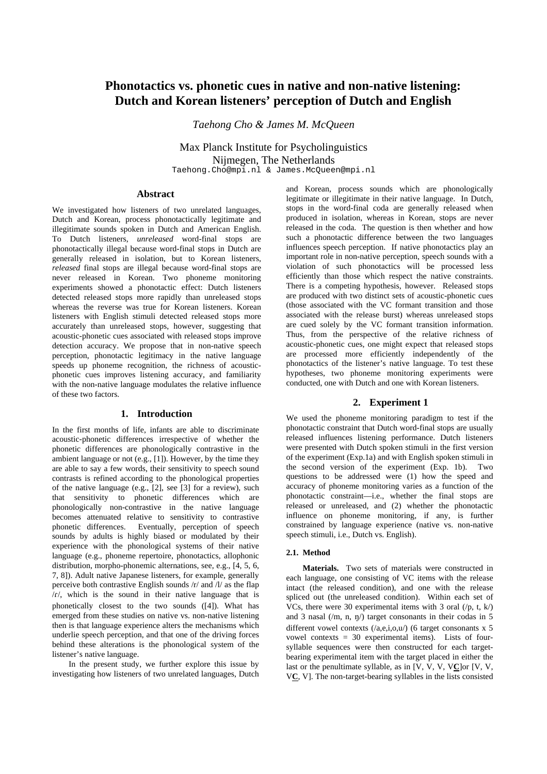# **Phonotactics vs. phonetic cues in native and non-native listening: Dutch and Korean listeners' perception of Dutch and English**

*Taehong Cho & James M. McQueen* 

Max Planck Institute for Psycholinguistics Nijmegen, The Netherlands Taehong.Cho@mpi.nl & James.McQueen@mpi.nl

**Abstract** 

We investigated how listeners of two unrelated languages, Dutch and Korean, process phonotactically legitimate and illegitimate sounds spoken in Dutch and American English. To Dutch listeners, *unreleased* word-final stops are phonotactically illegal because word-final stops in Dutch are generally released in isolation, but to Korean listeners, *released* final stops are illegal because word-final stops are never released in Korean. Two phoneme monitoring experiments showed a phonotactic effect: Dutch listeners detected released stops more rapidly than unreleased stops whereas the reverse was true for Korean listeners. Korean listeners with English stimuli detected released stops more accurately than unreleased stops, however, suggesting that acoustic-phonetic cues associated with released stops improve detection accuracy. We propose that in non-native speech perception, phonotactic legitimacy in the native language speeds up phoneme recognition, the richness of acousticphonetic cues improves listening accuracy, and familiarity with the non-native language modulates the relative influence of these two factors.

## **1. Introduction**

In the first months of life, infants are able to discriminate acoustic-phonetic differences irrespective of whether the phonetic differences are phonologically contrastive in the ambient language or not (e.g., [1]). However, by the time they are able to say a few words, their sensitivity to speech sound contrasts is refined according to the phonological properties of the native language (e.g.,  $[2]$ , see  $[3]$  for a review), such that sensitivity to phonetic differences which are phonologically non-contrastive in the native language becomes attenuated relative to sensitivity to contrastive phonetic differences. Eventually, perception of speech sounds by adults is highly biased or modulated by their experience with the phonological systems of their native language (e.g., phoneme repertoire, phonotactics, allophonic distribution, morpho-phonemic alternations, see, e.g., [4, 5, 6, 7, 8]). Adult native Japanese listeners, for example, generally perceive both contrastive English sounds /r/ and /l/ as the flap  $/r$ , which is the sound in their native language that is phonetically closest to the two sounds ([4]). What has emerged from these studies on native vs. non-native listening then is that language experience alters the mechanisms which underlie speech perception, and that one of the driving forces behind these alterations is the phonological system of the listener's native language.

 In the present study, we further explore this issue by investigating how listeners of two unrelated languages, Dutch and Korean, process sounds which are phonologically legitimate or illegitimate in their native language. In Dutch, stops in the word-final coda are generally released when produced in isolation, whereas in Korean, stops are never released in the coda. The question is then whether and how such a phonotactic difference between the two languages influences speech perception. If native phonotactics play an important role in non-native perception, speech sounds with a violation of such phonotactics will be processed less efficiently than those which respect the native constraints. There is a competing hypothesis, however. Released stops are produced with two distinct sets of acoustic-phonetic cues (those associated with the VC formant transition and those associated with the release burst) whereas unreleased stops are cued solely by the VC formant transition information. Thus, from the perspective of the relative richness of acoustic-phonetic cues, one might expect that released stops are processed more efficiently independently of the phonotactics of the listener's native language. To test these hypotheses, two phoneme monitoring experiments were conducted, one with Dutch and one with Korean listeners.

## **2. Experiment 1**

We used the phoneme monitoring paradigm to test if the phonotactic constraint that Dutch word-final stops are usually released influences listening performance. Dutch listeners were presented with Dutch spoken stimuli in the first version of the experiment (Exp.1a) and with English spoken stimuli in the second version of the experiment (Exp. 1b). Two questions to be addressed were (1) how the speed and accuracy of phoneme monitoring varies as a function of the phonotactic constraint—i.e., whether the final stops are released or unreleased, and (2) whether the phonotactic influence on phoneme monitoring, if any, is further constrained by language experience (native vs. non-native speech stimuli, i.e., Dutch vs. English).

#### **2.1. Method**

**Materials.** Two sets of materials were constructed in each language, one consisting of VC items with the release intact (the released condition), and one with the release spliced out (the unreleased condition). Within each set of VCs, there were 30 experimental items with 3 oral  $(\frac{p}{p}, t, k)$ and 3 nasal  $($ /m, n, n $)$ ) target consonants in their codas in 5 different vowel contexts  $($ /a,e,i,o,u/) (6 target consonants x 5 vowel contexts  $= 30$  experimental items). Lists of foursyllable sequences were then constructed for each targetbearing experimental item with the target placed in either the last or the penultimate syllable, as in [V, V, V, V**C**]or [V, V, V**C**, V]. The non-target-bearing syllables in the lists consisted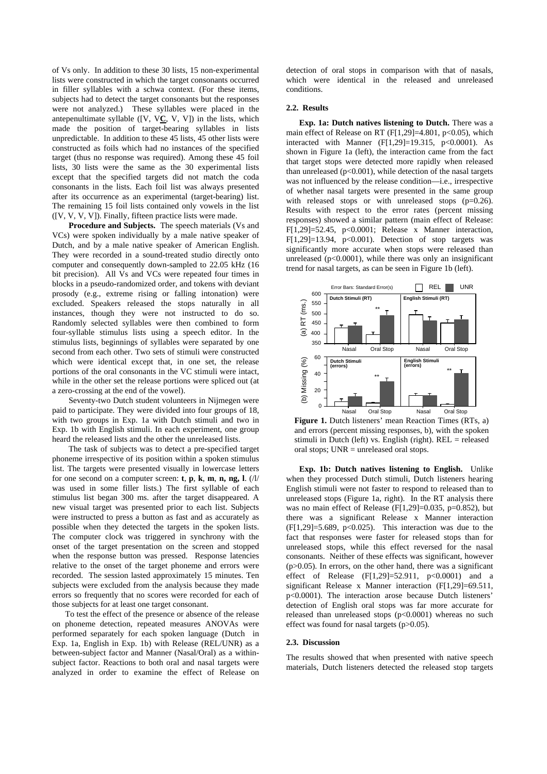of Vs only. In addition to these 30 lists, 15 non-experimental lists were constructed in which the target consonants occurred in filler syllables with a schwa context. (For these items, subjects had to detect the target consonants but the responses were not analyzed.) These syllables were placed in the antepenultimate syllable ([V, V**C**, V, V]) in the lists, which made the position of target-bearing syllables in lists unpredictable. In addition to these 45 lists, 45 other lists were constructed as foils which had no instances of the specified target (thus no response was required). Among these 45 foil lists, 30 lists were the same as the 30 experimental lists except that the specified targets did not match the coda consonants in the lists. Each foil list was always presented after its occurrence as an experimental (target-bearing) list. The remaining 15 foil lists contained only vowels in the list ([V, V, V, V]). Finally, fifteen practice lists were made.

**Procedure and Subjects.** The speech materials (Vs and VCs) were spoken individually by a male native speaker of Dutch, and by a male native speaker of American English. They were recorded in a sound-treated studio directly onto computer and consequently down-sampled to 22.05 kHz (16 bit precision). All Vs and VCs were repeated four times in blocks in a pseudo-randomized order, and tokens with deviant prosody (e.g., extreme rising or falling intonation) were excluded. Speakers released the stops naturally in all instances, though they were not instructed to do so. Randomly selected syllables were then combined to form four-syllable stimulus lists using a speech editor. In the stimulus lists, beginnings of syllables were separated by one second from each other. Two sets of stimuli were constructed which were identical except that, in one set, the release portions of the oral consonants in the VC stimuli were intact, while in the other set the release portions were spliced out (at a zero-crossing at the end of the vowel).

Seventy-two Dutch student volunteers in Nijmegen were paid to participate. They were divided into four groups of 18, with two groups in Exp. 1a with Dutch stimuli and two in Exp. 1b with English stimuli. In each experiment, one group heard the released lists and the other the unreleased lists.

The task of subjects was to detect a pre-specified target phoneme irrespective of its position within a spoken stimulus list. The targets were presented visually in lowercase letters for one second on a computer screen: **t**, **p**, **k**, **m**, **n, ng, l**. (/l/ was used in some filler lists.) The first syllable of each stimulus list began 300 ms. after the target disappeared. A new visual target was presented prior to each list. Subjects were instructed to press a button as fast and as accurately as possible when they detected the targets in the spoken lists. The computer clock was triggered in synchrony with the onset of the target presentation on the screen and stopped when the response button was pressed. Response latencies relative to the onset of the target phoneme and errors were recorded. The session lasted approximately 15 minutes. Ten subjects were excluded from the analysis because they made errors so frequently that no scores were recorded for each of those subjects for at least one target consonant.

To test the effect of the presence or absence of the release on phoneme detection, repeated measures ANOVAs were performed separately for each spoken language (Dutch in Exp. 1a, English in Exp. 1b) with Release (REL/UNR) as a between-subject factor and Manner (Nasal/Oral) as a withinsubject factor. Reactions to both oral and nasal targets were analyzed in order to examine the effect of Release on

detection of oral stops in comparison with that of nasals, which were identical in the released and unreleased conditions.

#### **2.2. Results**

**Exp. 1a: Dutch natives listening to Dutch.** There was a main effect of Release on RT  $(F[1,29] = 4.801, p < 0.05)$ , which interacted with Manner  $(F[1,29]=19.315, p<0.0001)$ . As shown in Figure 1a (left), the interaction came from the fact that target stops were detected more rapidly when released than unreleased  $(p<0.001)$ , while detection of the nasal targets was not influenced by the release condition—i.e., irrespective of whether nasal targets were presented in the same group with released stops or with unreleased stops (p=0.26). Results with respect to the error rates (percent missing responses) showed a similar pattern (main effect of Release: F[1,29]=52.45, p<0.0001; Release x Manner interaction, F[1,29]=13.94, p<0.001). Detection of stop targets was significantly more accurate when stops were released than unreleased ( $p<0.0001$ ), while there was only an insignificant trend for nasal targets, as can be seen in Figure 1b (left).



**Figure 1.** Dutch listeners' mean Reaction Times (RTs, a) and errors (percent missing responses, b), with the spoken stimuli in Dutch (left) vs. English (right).  $REL = released$ oral stops; UNR = unreleased oral stops.

**Exp. 1b: Dutch natives listening to English.** Unlike when they processed Dutch stimuli, Dutch listeners hearing English stimuli were not faster to respond to released than to unreleased stops (Figure 1a, right). In the RT analysis there was no main effect of Release (F[1,29]=0.035, p=0.852), but there was a significant Release x Manner interaction  $(F[1,29]=5.689, p<0.025)$ . This interaction was due to the fact that responses were faster for released stops than for unreleased stops, while this effect reversed for the nasal consonants. Neither of these effects was significant, however  $(p>0.05)$ . In errors, on the other hand, there was a significant effect of Release  $(F[1,29] = 52.911, p < 0.0001)$  and a significant Release x Manner interaction (F[1,29]=69.511, p<0.0001). The interaction arose because Dutch listeners' detection of English oral stops was far more accurate for released than unreleased stops (p<0.0001) whereas no such effect was found for nasal targets (p>0.05).

#### **2.3. Discussion**

The results showed that when presented with native speech materials, Dutch listeners detected the released stop targets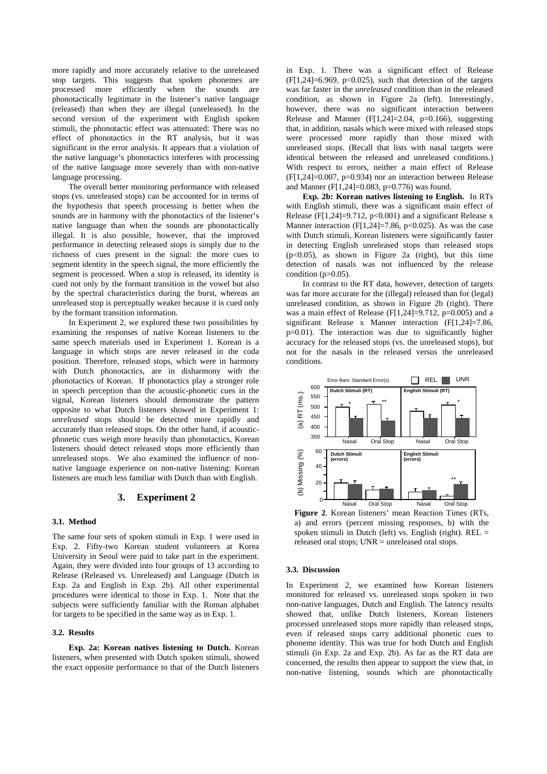more rapidly and more accurately relative to the unreleased stop targets. This suggests that spoken phonemes are processed more efficiently when the sounds are phonotactically legitimate in the listener's native language (released) than when they are illegal (unreleased). In the second version of the experiment with English spoken stimuli, the phonotactic effect was attenuated: There was no effect of phonotactics in the RT analysis, but it was significant in the error analysis. It appears that a violation of the native language's phonotactics interferes with processing of the native language more severely than with non-native language processing.

The overall better monitoring performance with released stops (vs. unreleased stops) can be accounted for in terms of the hypothesis that speech processing is better when the sounds are in harmony with the phonotactics of the listener's native language than when the sounds are phonotactically illegal. It is also possible, however, that the improved performance in detecting released stops is simply due to the richness of cues present in the signal: the more cues to segment identity in the speech signal, the more efficiently the segment is processed. When a stop is released, its identity is cued not only by the formant transition in the vowel but also by the spectral characteristics during the burst, whereas an unreleased stop is perceptually weaker because it is cued only by the formant transition information.

In Experiment 2, we explored these two possibilities by examining the responses of native Korean listeners to the same speech materials used in Experiment 1. Korean is a language in which stops are never released in the coda position. Therefore, released stops, which were in harmony with Dutch phonotactics, are in disharmony with the phonotactics of Korean. If phonotactics play a stronger role in speech perception than the acoustic-phonetic cues in the signal, Korean listeners should demonstrate the pattern opposite to what Dutch listeners showed in Experiment 1: *unreleased* stops should be detected more rapidly and accurately than released stops. On the other hand, if acousticphonetic cues weigh more heavily than phonotactics, Korean listeners should detect released stops more efficiently than unreleased stops. We also examined the influence of nonnative language experience on non-native listening: Korean listeners are much less familiar with Dutch than with English.

#### **3. Experiment 2**

#### **3.1. Method**

The same four sets of spoken stimuli in Exp. 1 were used in Exp. 2. Fifty-two Korean student volunteers at Korea University in Seoul were paid to take part in the experiment. Again, they were divided into four groups of 13 according to Release (Released vs. Unreleased) and Language (Dutch in Exp. 2a and English in Exp. 2b). All other experimental procedures were identical to those in Exp. 1. Note that the subjects were sufficiently familiar with the Roman alphabet for targets to be specified in the same way as in Exp. 1.

#### **3.2. Results**

**Exp. 2a: Korean natives listening to Dutch.** Korean listeners, when presented with Dutch spoken stimuli, showed the exact opposite performance to that of the Dutch listeners

in Exp. 1. There was a significant effect of Release  $(F[1,24] = 6.969, p < 0.025)$ , such that detection of the targets was far faster in the *unreleased* condition than in the released condition, as shown in Figure 2a (left). Interestingly, however, there was no significant interaction between Release and Manner  $(F[1,24]=2.04, p=0.166)$ , suggesting that, in addition, nasals which were mixed with released stops were processed more rapidly than those mixed with unreleased stops. (Recall that lists with nasal targets were identical between the released and unreleased conditions.) With respect to errors, neither a main effect of Release  $(F[1,24]=0.007, p=0.934)$  nor an interaction between Release and Manner (F[1,24]=0.083, p=0.776) was found.

**Exp. 2b: Korean natives listening to English.** In RTs with English stimuli, there was a significant main effect of Release (F[1,24]=9.712,  $p<0.001$ ) and a significant Release x Manner interaction (F[1,24]=7.86, p<0.025). As was the case with Dutch stimuli, Korean listeners were significantly faster in detecting English unreleased stops than released stops (p<0.05), as shown in Figure 2a (right), but this time detection of nasals was not influenced by the release condition  $(p>0.05)$ .

In contrast to the RT data, however, detection of targets was far more accurate for the (illegal) released than for (legal) unreleased condition, as shown in Figure 2b (right). There was a main effect of Release (F[1,24]=9.712, p=0.005) and a significant Release x Manner interaction (F[1,24]=7.86, p=0.01). The interaction was due to significantly higher accuracy for the released stops (vs. the unreleased stops), but not for the nasals in the released versus the unreleased conditions.



**Figure 2**. Korean listeners' mean Reaction Times (RTs, a) and errors (percent missing responses, b) with the spoken stimuli in Dutch (left) vs. English (right).  $REL =$ released oral stops;  $UNR =$  unreleased oral stops.

### **3.3. Discussion**

In Experiment 2, we examined how Korean listeners monitored for released vs. unreleased stops spoken in two non-native languages, Dutch and English. The latency results showed that, unlike Dutch listeners, Korean listeners processed unreleased stops more rapidly than released stops, even if released stops carry additional phonetic cues to phoneme identity. This was true for both Dutch and English stimuli (in Exp. 2a and Exp. 2b). As far as the RT data are concerned, the results then appear to support the view that, in non-native listening, sounds which are phonotactically